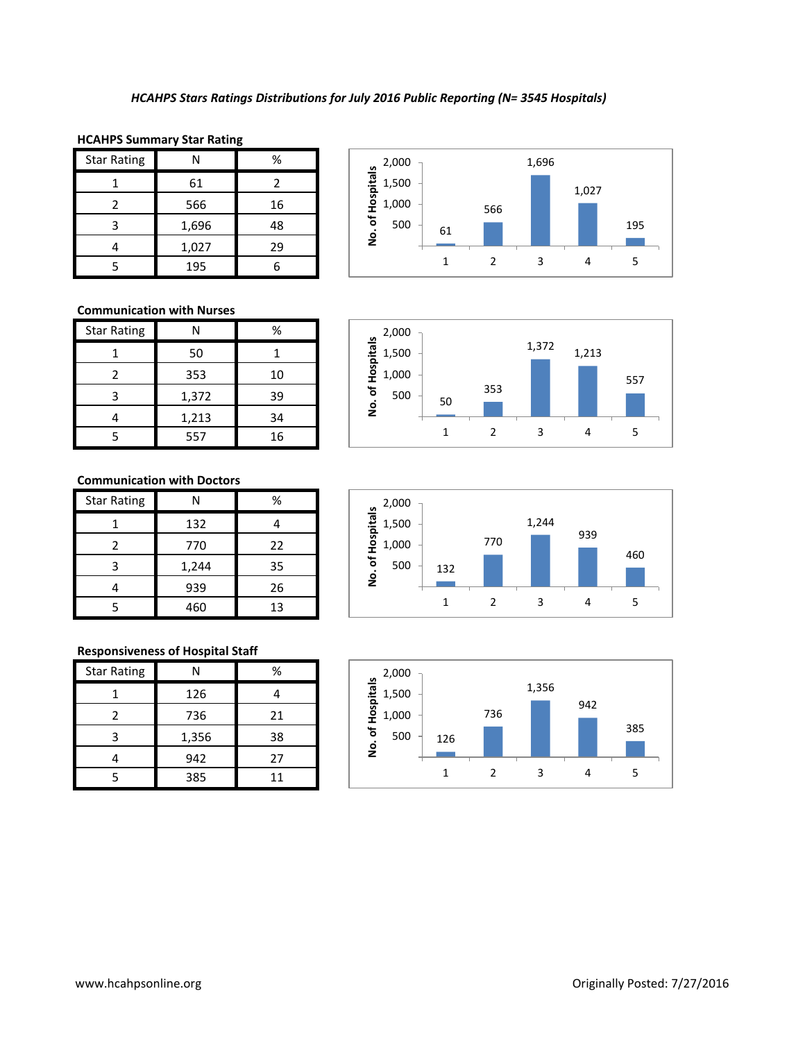#### **HCAHPS Summary Star Rating**

| <b>Star Rating</b> | N     | %  |
|--------------------|-------|----|
|                    | 61    | 2  |
| 2                  | 566   | 16 |
| 3                  | 1,696 | 48 |
|                    | 1,027 | 29 |
|                    | 195   |    |



### **Communication with Nurses**

| <b>Star Rating</b> | Ν     | ℅  |
|--------------------|-------|----|
|                    | 50    |    |
| $\mathcal{P}$      | 353   | 10 |
| З                  | 1,372 | 39 |
|                    | 1,213 | 34 |
|                    | 557   | 16 |



## **Communication with Doctors**

| <b>Star Rating</b> | Ν     | %  |
|--------------------|-------|----|
|                    | 132   |    |
| 2                  | 770   | 22 |
| 3                  | 1,244 | 35 |
|                    | 939   | 26 |
|                    | 460   | 13 |

### **Responsiveness of Hospital Staff**

| <b>Star Rating</b> | Ν     | %  |
|--------------------|-------|----|
|                    | 126   |    |
| 2                  | 736   | 21 |
| 3                  | 1,356 | 38 |
|                    | 942   | 27 |
|                    | 385   | 11 |



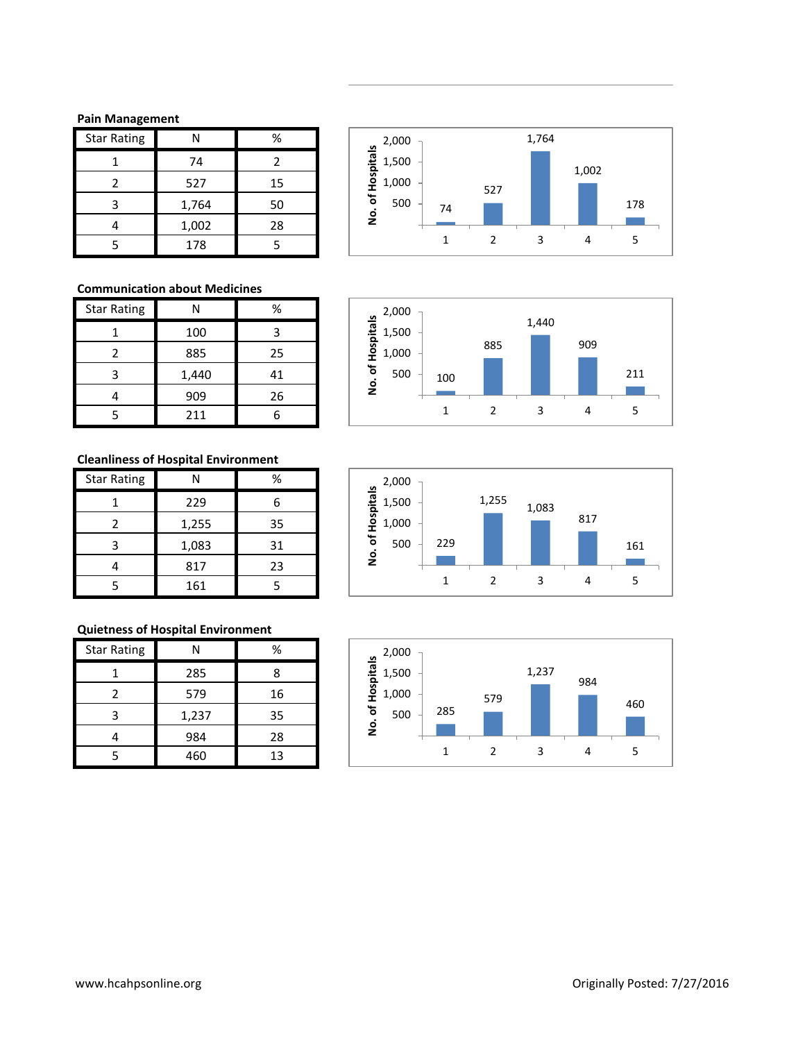### **Pain Management**

| <b>Star Rating</b> |       | %  |
|--------------------|-------|----|
|                    | 74    | 2  |
|                    | 527   | 15 |
| ੨                  | 1,764 | 50 |
|                    | 1,002 | 28 |
|                    | 178   |    |

## **Communication about Medicines**

| <b>Star Rating</b> |       | ℅  |
|--------------------|-------|----|
|                    | 100   | ς  |
| 2                  | 885   | 25 |
| ੨                  | 1,440 | 41 |
|                    | 909   | 26 |
|                    | 211   |    |

# **Cleanliness of Hospital Environment**

| <b>Star Rating</b> | N     | %  |
|--------------------|-------|----|
|                    | 229   |    |
| 7                  | 1,255 | 35 |
| ੨                  | 1,083 | 31 |
|                    | 817   | 23 |
|                    | 161   |    |

# **Quietness of Hospital Environment**

| <b>Star Rating</b> | N     | %  |
|--------------------|-------|----|
|                    | 285   | 8  |
| 2                  | 579   | 16 |
| ੨                  | 1,237 | 35 |
|                    | 984   | 28 |
|                    | 460   | 13 |